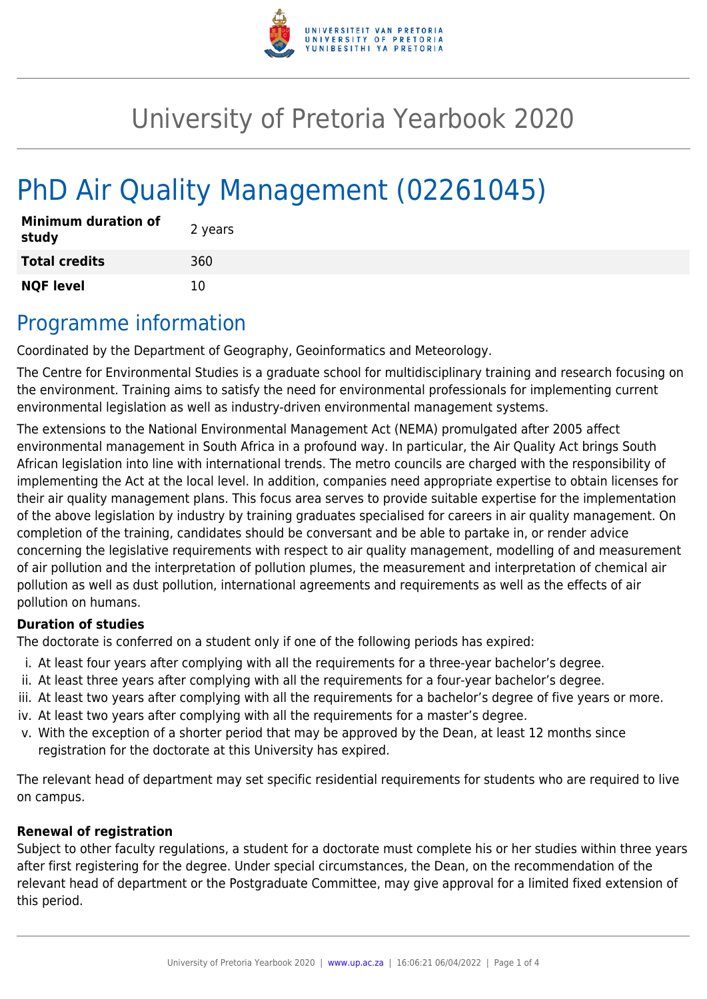

# University of Pretoria Yearbook 2020

# PhD Air Quality Management (02261045)

| <b>Minimum duration of</b><br>study | 2 years |
|-------------------------------------|---------|
| <b>Total credits</b>                | 360     |
| <b>NQF level</b>                    | 10      |

## Programme information

Coordinated by the Department of Geography, Geoinformatics and Meteorology.

The Centre for Environmental Studies is a graduate school for multidisciplinary training and research focusing on the environment. Training aims to satisfy the need for environmental professionals for implementing current environmental legislation as well as industry-driven environmental management systems.

The extensions to the National Environmental Management Act (NEMA) promulgated after 2005 affect environmental management in South Africa in a profound way. In particular, the Air Quality Act brings South African legislation into line with international trends. The metro councils are charged with the responsibility of implementing the Act at the local level. In addition, companies need appropriate expertise to obtain licenses for their air quality management plans. This focus area serves to provide suitable expertise for the implementation of the above legislation by industry by training graduates specialised for careers in air quality management. On completion of the training, candidates should be conversant and be able to partake in, or render advice concerning the legislative requirements with respect to air quality management, modelling of and measurement of air pollution and the interpretation of pollution plumes, the measurement and interpretation of chemical air pollution as well as dust pollution, international agreements and requirements as well as the effects of air pollution on humans.

#### **Duration of studies**

The doctorate is conferred on a student only if one of the following periods has expired:

- i. At least four years after complying with all the requirements for a three-year bachelor's degree.
- ii. At least three years after complying with all the requirements for a four-year bachelor's degree.
- iii. At least two years after complying with all the requirements for a bachelor's degree of five years or more.
- iv. At least two years after complying with all the requirements for a master's degree.
- v. With the exception of a shorter period that may be approved by the Dean, at least 12 months since registration for the doctorate at this University has expired.

The relevant head of department may set specific residential requirements for students who are required to live on campus.

#### **Renewal of registration**

Subject to other faculty regulations, a student for a doctorate must complete his or her studies within three years after first registering for the degree. Under special circumstances, the Dean, on the recommendation of the relevant head of department or the Postgraduate Committee, may give approval for a limited fixed extension of this period.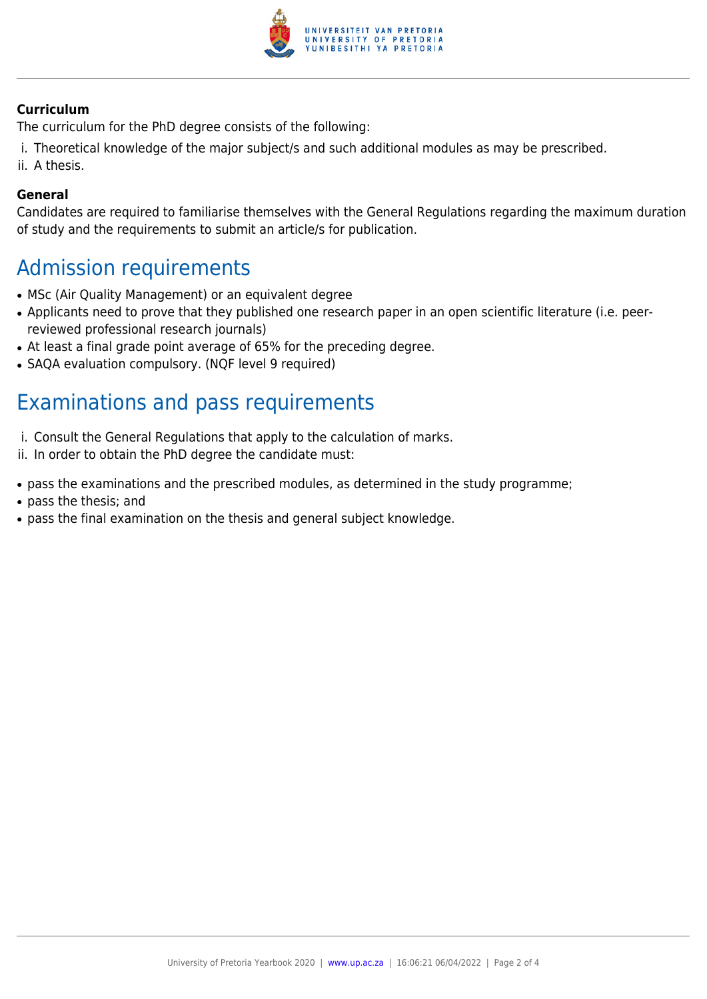

#### **Curriculum**

The curriculum for the PhD degree consists of the following:

- i. Theoretical knowledge of the major subject/s and such additional modules as may be prescribed.
- ii. A thesis.

#### **General**

Candidates are required to familiarise themselves with the General Regulations regarding the maximum duration of study and the requirements to submit an article/s for publication.

### Admission requirements

- MSc (Air Quality Management) or an equivalent degree
- Applicants need to prove that they published one research paper in an open scientific literature (i.e. peerreviewed professional research journals)
- At least a final grade point average of 65% for the preceding degree.
- SAQA evaluation compulsory. (NQF level 9 required)

## Examinations and pass requirements

- i. Consult the General Regulations that apply to the calculation of marks.
- ii. In order to obtain the PhD degree the candidate must:
- pass the examinations and the prescribed modules, as determined in the study programme;
- pass the thesis; and
- pass the final examination on the thesis and general subject knowledge.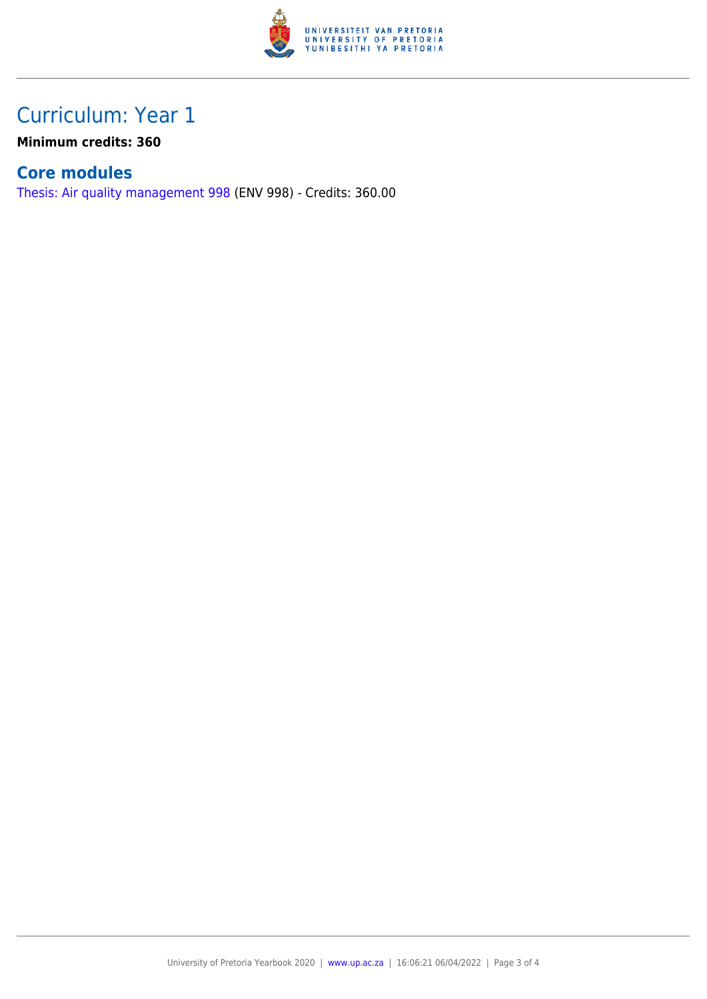

## Curriculum: Year 1

**Minimum credits: 360**

### **Core modules**

[Thesis: Air quality management 998](https://www.up.ac.za/faculty-of-education/yearbooks/2020/modules/view/ENV 998) (ENV 998) - Credits: 360.00